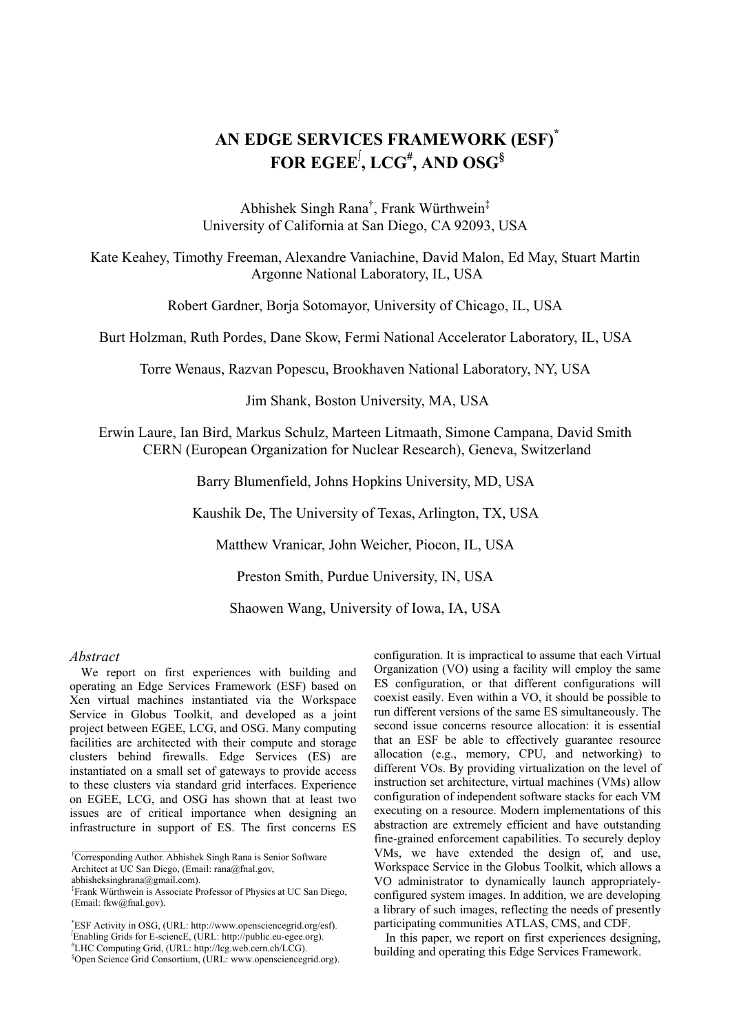# **AN EDGE SERVICES FRAMEWORK (ESF)\* FOR EGEE<sup>∫</sup> , LCG# , AND OSG§**

Abhishek Singh Rana† , Frank Würthwein‡ University of California at San Diego, CA 92093, USA

Kate Keahey, Timothy Freeman, Alexandre Vaniachine, David Malon, Ed May, Stuart Martin Argonne National Laboratory, IL, USA

Robert Gardner, Borja Sotomayor, University of Chicago, IL, USA

Burt Holzman, Ruth Pordes, Dane Skow, Fermi National Accelerator Laboratory, IL, USA

Torre Wenaus, Razvan Popescu, Brookhaven National Laboratory, NY, USA

Jim Shank, Boston University, MA, USA

Erwin Laure, Ian Bird, Markus Schulz, Marteen Litmaath, Simone Campana, David Smith CERN (European Organization for Nuclear Research), Geneva, Switzerland

Barry Blumenfield, Johns Hopkins University, MD, USA

Kaushik De, The University of Texas, Arlington, TX, USA

Matthew Vranicar, John Weicher, Piocon, IL, USA

Preston Smith, Purdue University, IN, USA

Shaowen Wang, University of Iowa, IA, USA

#### *Abstract*

We report on first experiences with building and operating an Edge Services Framework (ESF) based on Xen virtual machines instantiated via the Workspace Service in Globus Toolkit, and developed as a joint project between EGEE, LCG, and OSG. Many computing facilities are architected with their compute and storage clusters behind firewalls. Edge Services (ES) are instantiated on a small set of gateways to provide access to these clusters via standard grid interfaces. Experience on EGEE, LCG, and OSG has shown that at least two issues are of critical importance when designing an infrastructure in support of ES. The first concerns ES

configuration. It is impractical to assume that each Virtual Organization (VO) using a facility will employ the same ES configuration, or that different configurations will coexist easily. Even within a VO, it should be possible to run different versions of the same ES simultaneously. The second issue concerns resource allocation: it is essential that an ESF be able to effectively guarantee resource allocation (e.g., memory, CPU, and networking) to different VOs. By providing virtualization on the level of instruction set architecture, virtual machines (VMs) allow configuration of independent software stacks for each VM executing on a resource. Modern implementations of this abstraction are extremely efficient and have outstanding fine-grained enforcement capabilities. To securely deploy VMs, we have extended the design of, and use, Workspace Service in the Globus Toolkit, which allows a VO administrator to dynamically launch appropriatelyconfigured system images. In addition, we are developing a library of such images, reflecting the needs of presently participating communities ATLAS, CMS, and CDF.

In this paper, we report on first experiences designing. building and operating this Edge Services Framework.

*<sup>†</sup>*<br><sup>†</sup>Corresponding Author. Abhishek Singh Rana is Senior Software Architect at UC San Diego, (Email: rana@fnal.gov,

abhisheksinghrana@gmail.com).

<sup>‡</sup> Frank Würthwein is Associate Professor of Physics at UC San Diego, (Email: fkw@fnal.gov).

<sup>\*</sup> ESF Activity in OSG, (URL: http://www.opensciencegrid.org/esf). ∫ Enabling Grids for E-sciencE, (URL: http://public.eu-egee.org). # LHC Computing Grid, (URL: http://lcg.web.cern.ch/LCG). §

Open Science Grid Consortium, (URL: www.opensciencegrid.org).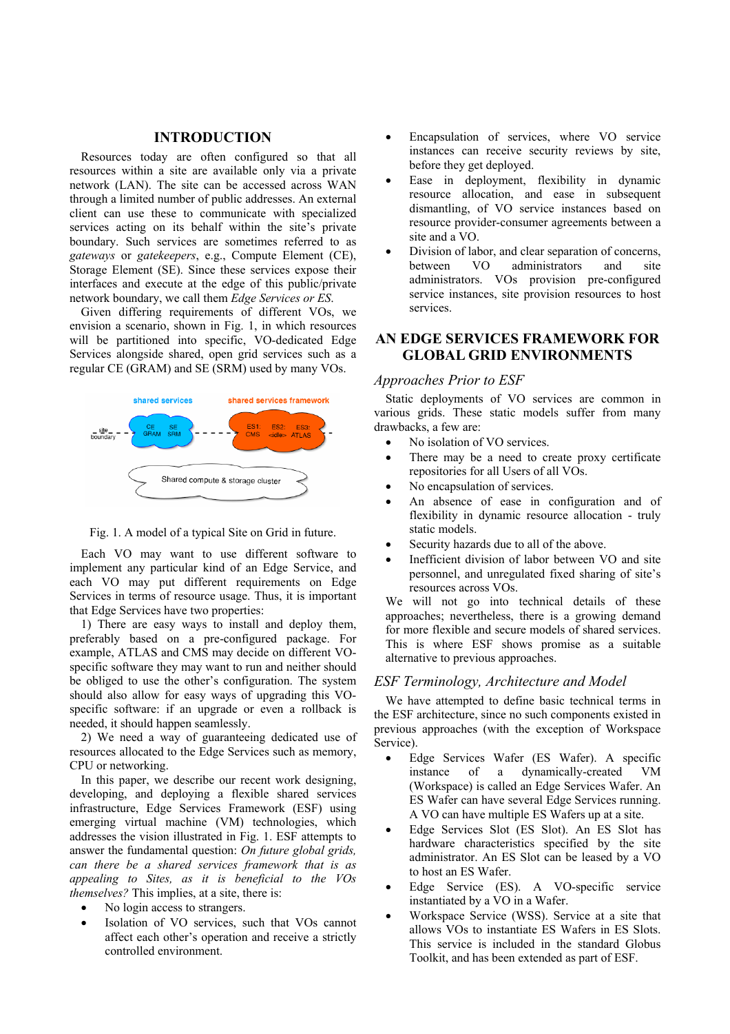#### **INTRODUCTION**

Resources today are often configured so that all resources within a site are available only via a private network (LAN). The site can be accessed across WAN through a limited number of public addresses. An external client can use these to communicate with specialized services acting on its behalf within the site's private boundary. Such services are sometimes referred to as *gateways* or *gatekeepers*, e.g., Compute Element (CE), Storage Element (SE). Since these services expose their interfaces and execute at the edge of this public/private network boundary, we call them *Edge Services or ES*.

Given differing requirements of different VOs, we envision a scenario, shown in Fig. 1, in which resources will be partitioned into specific, VO-dedicated Edge Services alongside shared, open grid services such as a regular CE (GRAM) and SE (SRM) used by many VOs.





Each VO may want to use different software to implement any particular kind of an Edge Service, and each VO may put different requirements on Edge Services in terms of resource usage. Thus, it is important that Edge Services have two properties:

1) There are easy ways to install and deploy them, preferably based on a pre-configured package. For example, ATLAS and CMS may decide on different VOspecific software they may want to run and neither should be obliged to use the other's configuration. The system should also allow for easy ways of upgrading this VOspecific software: if an upgrade or even a rollback is needed, it should happen seamlessly.

2) We need a way of guaranteeing dedicated use of resources allocated to the Edge Services such as memory, CPU or networking.

In this paper, we describe our recent work designing. developing, and deploying a flexible shared services infrastructure, Edge Services Framework (ESF) using emerging virtual machine (VM) technologies, which addresses the vision illustrated in Fig. 1. ESF attempts to answer the fundamental question: *On future global grids, can there be a shared services framework that is as appealing to Sites, as it is beneficial to the VOs themselves?* This implies, at a site, there is:

- No login access to strangers.
- Isolation of VO services, such that VOs cannot affect each other's operation and receive a strictly controlled environment.
- Encapsulation of services, where VO service instances can receive security reviews by site, before they get deployed.
- Ease in deployment, flexibility in dynamic resource allocation, and ease in subsequent dismantling, of VO service instances based on resource provider-consumer agreements between a site and a VO.
- Division of labor, and clear separation of concerns, between VO administrators and site administrators. VOs provision pre-configured service instances, site provision resources to host services.

# **AN EDGE SERVICES FRAMEWORK FOR GLOBAL GRID ENVIRONMENTS**

#### *Approaches Prior to ESF*

Static deployments of VO services are common in various grids. These static models suffer from many drawbacks, a few are:

- No isolation of VO services.
- There may be a need to create proxy certificate repositories for all Users of all VOs.
- No encapsulation of services.
- An absence of ease in configuration and of flexibility in dynamic resource allocation - truly static models.
- Security hazards due to all of the above.
- Inefficient division of labor between VO and site personnel, and unregulated fixed sharing of site's resources across VOs.

We will not go into technical details of these approaches; nevertheless, there is a growing demand for more flexible and secure models of shared services. This is where ESF shows promise as a suitable alternative to previous approaches.

#### *ESF Terminology, Architecture and Model*

We have attempted to define basic technical terms in the ESF architecture, since no such components existed in previous approaches (with the exception of Workspace Service).

- Edge Services Wafer (ES Wafer). A specific instance of a dynamically-created VM (Workspace) is called an Edge Services Wafer. An ES Wafer can have several Edge Services running. A VO can have multiple ES Wafers up at a site.
- Edge Services Slot (ES Slot). An ES Slot has hardware characteristics specified by the site administrator. An ES Slot can be leased by a VO to host an ES Wafer.
- Edge Service (ES). A VO-specific service instantiated by a VO in a Wafer.
- Workspace Service (WSS). Service at a site that allows VOs to instantiate ES Wafers in ES Slots. This service is included in the standard Globus Toolkit, and has been extended as part of ESF.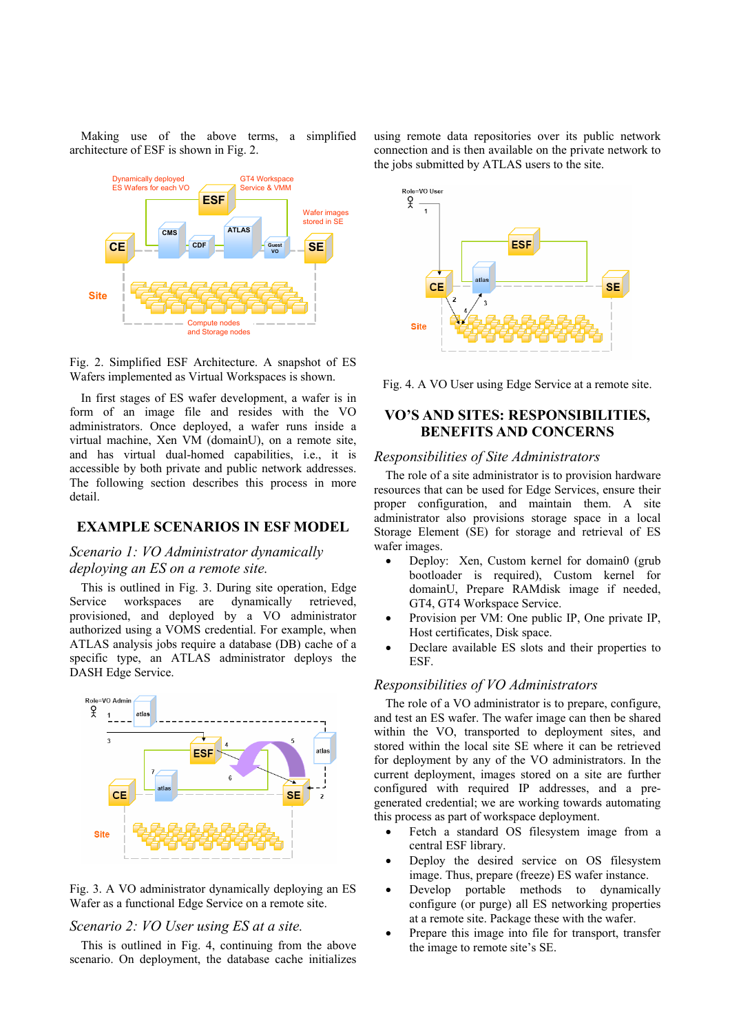Making use of the above terms, a simplified architecture of ESF is shown in Fig. 2.



Fig. 2. Simplified ESF Architecture. A snapshot of ES Wafers implemented as Virtual Workspaces is shown.

In first stages of ES wafer development, a wafer is in form of an image file and resides with the VO administrators. Once deployed, a wafer runs inside a virtual machine, Xen VM (domainU), on a remote site, and has virtual dual-homed capabilities, i.e., it is accessible by both private and public network addresses. The following section describes this process in more detail.

### **EXAMPLE SCENARIOS IN ESF MODEL**

# *Scenario 1: VO Administrator dynamically deploying an ES on a remote site.*

This is outlined in Fig. 3. During site operation, Edge Service workspaces are dynamically retrieved, provisioned, and deployed by a VO administrator authorized using a VOMS credential. For example, when ATLAS analysis jobs require a database (DB) cache of a specific type, an ATLAS administrator deploys the DASH Edge Service.



Fig. 3. A VO administrator dynamically deploying an ES Wafer as a functional Edge Service on a remote site.

*Scenario 2: VO User using ES at a site.* 

This is outlined in Fig. 4, continuing from the above scenario. On deployment, the database cache initializes using remote data repositories over its public network connection and is then available on the private network to the jobs submitted by ATLAS users to the site.



Fig. 4. A VO User using Edge Service at a remote site.

# **VO'S AND SITES: RESPONSIBILITIES, BENEFITS AND CONCERNS**

#### *Responsibilities of Site Administrators*

The role of a site administrator is to provision hardware resources that can be used for Edge Services, ensure their proper configuration, and maintain them. A site administrator also provisions storage space in a local Storage Element (SE) for storage and retrieval of ES wafer images.

- Deploy: Xen, Custom kernel for domain0 (grub bootloader is required), Custom kernel for domainU, Prepare RAMdisk image if needed, GT4, GT4 Workspace Service.
- Provision per VM: One public IP, One private IP, Host certificates, Disk space.
- Declare available ES slots and their properties to ESF.

## *Responsibilities of VO Administrators*

The role of a VO administrator is to prepare, configure, and test an ES wafer. The wafer image can then be shared within the VO, transported to deployment sites, and stored within the local site SE where it can be retrieved for deployment by any of the VO administrators. In the current deployment, images stored on a site are further configured with required IP addresses, and a pregenerated credential; we are working towards automating this process as part of workspace deployment.

- Fetch a standard OS filesystem image from a central ESF library.
- Deploy the desired service on OS filesystem image. Thus, prepare (freeze) ES wafer instance.
- Develop portable methods to dynamically configure (or purge) all ES networking properties at a remote site. Package these with the wafer.
- Prepare this image into file for transport, transfer the image to remote site's SE.